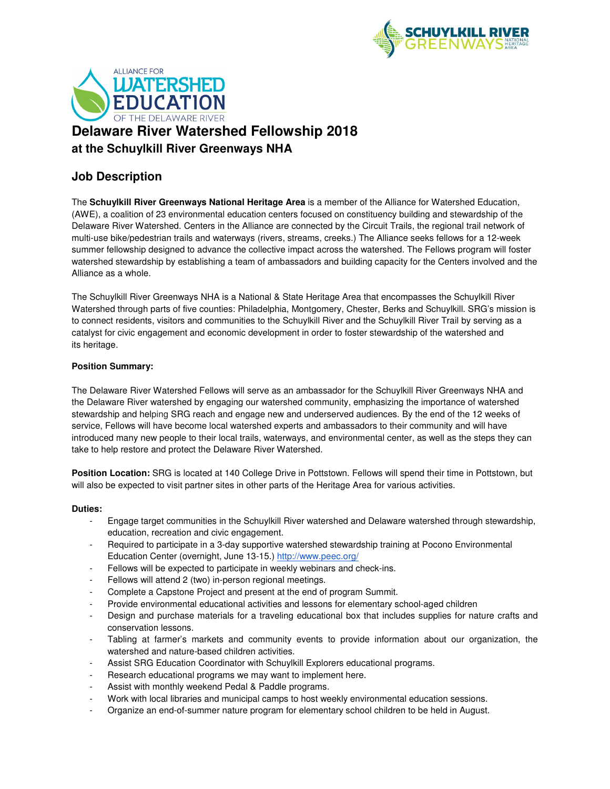



# **Job Description**

The **Schuylkill River Greenways National Heritage Area** is a member of the Alliance for Watershed Education, (AWE), a coalition of 23 environmental education centers focused on constituency building and stewardship of the Delaware River Watershed. Centers in the Alliance are connected by the Circuit Trails, the regional trail network of multi-use bike/pedestrian trails and waterways (rivers, streams, creeks.) The Alliance seeks fellows for a 12-week summer fellowship designed to advance the collective impact across the watershed. The Fellows program will foster watershed stewardship by establishing a team of ambassadors and building capacity for the Centers involved and the Alliance as a whole.

The Schuylkill River Greenways NHA is a National & State Heritage Area that encompasses the Schuylkill River Watershed through parts of five counties: Philadelphia, Montgomery, Chester, Berks and Schuylkill. SRG's mission is to connect residents, visitors and communities to the Schuylkill River and the Schuylkill River Trail by serving as a catalyst for civic engagement and economic development in order to foster stewardship of the watershed and its heritage.

# **Position Summary:**

The Delaware River Watershed Fellows will serve as an ambassador for the Schuylkill River Greenways NHA and the Delaware River watershed by engaging our watershed community, emphasizing the importance of watershed stewardship and helping SRG reach and engage new and underserved audiences. By the end of the 12 weeks of service, Fellows will have become local watershed experts and ambassadors to their community and will have introduced many new people to their local trails, waterways, and environmental center, as well as the steps they can take to help restore and protect the Delaware River Watershed.

**Position Location:** SRG is located at 140 College Drive in Pottstown. Fellows will spend their time in Pottstown, but will also be expected to visit partner sites in other parts of the Heritage Area for various activities.

### **Duties:**

- Engage target communities in the Schuylkill River watershed and Delaware watershed through stewardship, education, recreation and civic engagement.
- Required to participate in a 3-day supportive watershed stewardship training at Pocono Environmental Education Center (overnight, June 13-15.) http://www.peec.org/
- Fellows will be expected to participate in weekly webinars and check-ins.
- Fellows will attend 2 (two) in-person regional meetings.
- Complete a Capstone Project and present at the end of program Summit.
- Provide environmental educational activities and lessons for elementary school-aged children
- Design and purchase materials for a traveling educational box that includes supplies for nature crafts and conservation lessons.
- Tabling at farmer's markets and community events to provide information about our organization, the watershed and nature-based children activities.
- Assist SRG Education Coordinator with Schuylkill Explorers educational programs.
- Research educational programs we may want to implement here.
- Assist with monthly weekend Pedal & Paddle programs.
- Work with local libraries and municipal camps to host weekly environmental education sessions.
- Organize an end-of-summer nature program for elementary school children to be held in August.